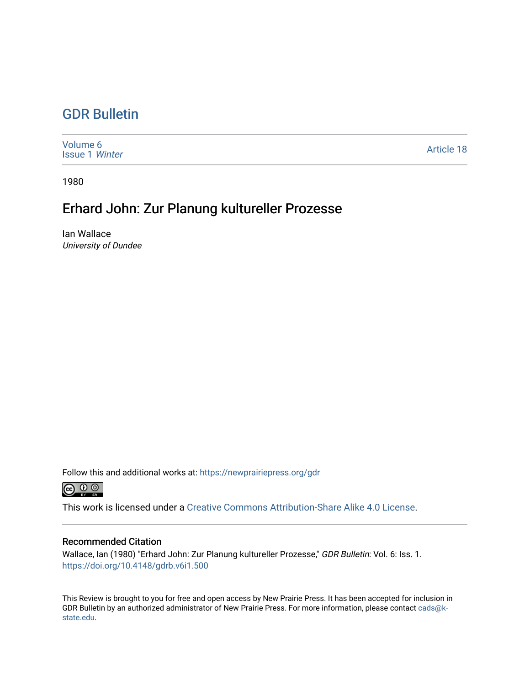## [GDR Bulletin](https://newprairiepress.org/gdr)

| Volume 6<br><b>Issue 1 Winter</b> | <b>Article 18</b> |
|-----------------------------------|-------------------|
|-----------------------------------|-------------------|

1980

## Erhard John: Zur Planung kultureller Prozesse

Ian Wallace University of Dundee

Follow this and additional works at: [https://newprairiepress.org/gdr](https://newprairiepress.org/gdr?utm_source=newprairiepress.org%2Fgdr%2Fvol6%2Fiss1%2F18&utm_medium=PDF&utm_campaign=PDFCoverPages) 



This work is licensed under a [Creative Commons Attribution-Share Alike 4.0 License.](https://creativecommons.org/licenses/by-sa/4.0/)

## Recommended Citation

Wallace, Ian (1980) "Erhard John: Zur Planung kultureller Prozesse," GDR Bulletin: Vol. 6: Iss. 1. <https://doi.org/10.4148/gdrb.v6i1.500>

This Review is brought to you for free and open access by New Prairie Press. It has been accepted for inclusion in GDR Bulletin by an authorized administrator of New Prairie Press. For more information, please contact [cads@k](mailto:cads@k-state.edu)[state.edu](mailto:cads@k-state.edu).